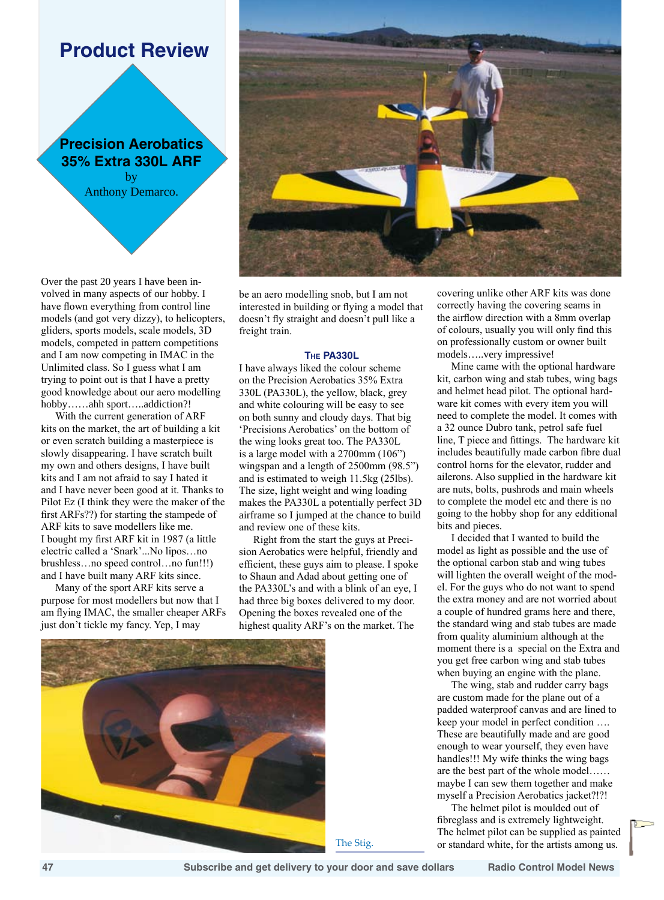# **Product Review**

**Precision Aerobatics 35% Extra 330L ARF** by Anthony Demarco.

Over the past 20 years I have been involved in many aspects of our hobby. I have flown everything from control line models (and got very dizzy), to helicopters, gliders, sports models, scale models, 3D models, competed in pattern competitions and I am now competing in IMAC in the Unlimited class. So I guess what I am trying to point out is that I have a pretty good knowledge about our aero modelling hobby……ahh sport…..addiction?!

With the current generation of ARF kits on the market, the art of building a kit or even scratch building a masterpiece is slowly disappearing. I have scratch built my own and others designs, I have built kits and I am not afraid to say I hated it and I have never been good at it. Thanks to Pilot Ez (I think they were the maker of the first ARFs??) for starting the stampede of ARF kits to save modellers like me. I bought my first ARF kit in 1987 (a little electric called a 'Snark'...No lipos…no brushless…no speed control…no fun!!!) and I have built many ARF kits since.

Many of the sport ARF kits serve a purpose for most modellers but now that I am flying IMAC, the smaller cheaper ARFs just don't tickle my fancy. Yep, I may



be an aero modelling snob, but I am not interested in building or flying a model that doesn't fly straight and doesn't pull like a freight train.

# **The PA330L**

I have always liked the colour scheme on the Precision Aerobatics 35% Extra 330L (PA330L), the yellow, black, grey and white colouring will be easy to see on both sunny and cloudy days. That big 'Precisions Aerobatics' on the bottom of the wing looks great too. The PA330L is a large model with a 2700mm (106") wingspan and a length of 2500mm (98.5") and is estimated to weigh 11.5kg (25lbs). The size, light weight and wing loading makes the PA330L a potentially perfect 3D airframe so I jumped at the chance to build and review one of these kits.

Right from the start the guys at Precision Aerobatics were helpful, friendly and efficient, these guys aim to please. I spoke to Shaun and Adad about getting one of the PA330L's and with a blink of an eye, I had three big boxes delivered to my door. Opening the boxes revealed one of the highest quality ARF's on the market. The



covering unlike other ARF kits was done correctly having the covering seams in the airflow direction with a 8mm overlap of colours, usually you will only find this on professionally custom or owner built models…..very impressive!

Mine came with the optional hardware kit, carbon wing and stab tubes, wing bags and helmet head pilot. The optional hardware kit comes with every item you will need to complete the model. It comes with a 32 ounce Dubro tank, petrol safe fuel line, T piece and fittings. The hardware kit includes beautifully made carbon fibre dual control horns for the elevator, rudder and ailerons. Also supplied in the hardware kit are nuts, bolts, pushrods and main wheels to complete the model etc and there is no going to the hobby shop for any edditional bits and pieces.

I decided that I wanted to build the model as light as possible and the use of the optional carbon stab and wing tubes will lighten the overall weight of the model. For the guys who do not want to spend the extra money and are not worried about a couple of hundred grams here and there, the standard wing and stab tubes are made from quality aluminium although at the moment there is a special on the Extra and you get free carbon wing and stab tubes when buying an engine with the plane.

The wing, stab and rudder carry bags are custom made for the plane out of a padded waterproof canvas and are lined to keep your model in perfect condition …. These are beautifully made and are good enough to wear yourself, they even have handles!!! My wife thinks the wing bags are the best part of the whole model…… maybe I can sew them together and make myself a Precision Aerobatics jacket?!?!

The helmet pilot is moulded out of fibreglass and is extremely lightweight. The helmet pilot can be supplied as painted The Stig. or standard white, for the artists among us.

 **47 Subscribe and get delivery to your door and save dollars Radio Control Model News**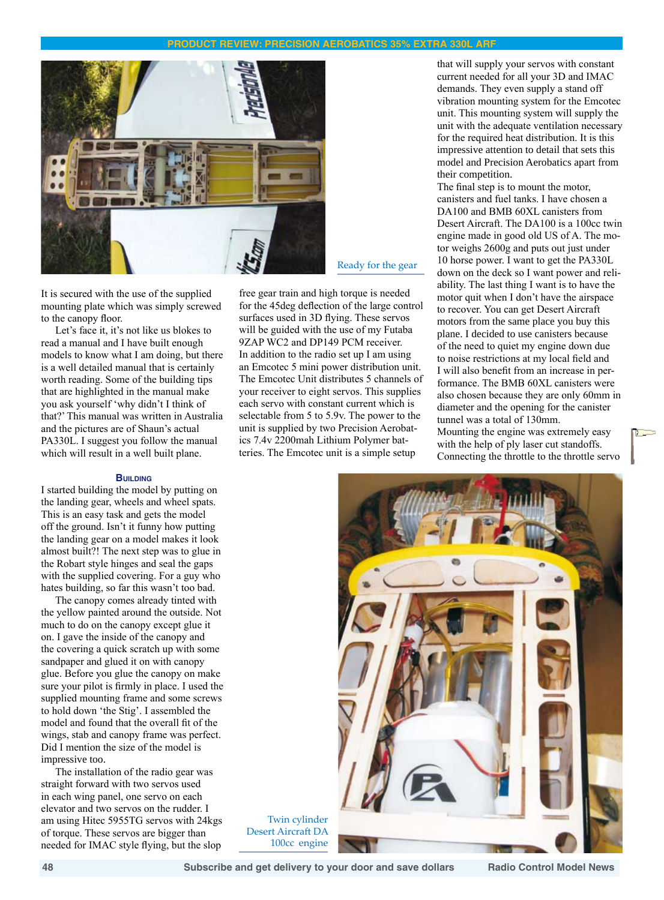

It is secured with the use of the supplied mounting plate which was simply screwed to the canopy floor.

Let's face it, it's not like us blokes to read a manual and I have built enough models to know what I am doing, but there is a well detailed manual that is certainly worth reading. Some of the building tips that are highlighted in the manual make you ask yourself 'why didn't I think of that?' This manual was written in Australia and the pictures are of Shaun's actual PA330L. I suggest you follow the manual which will result in a well built plane.

## **Building**

I started building the model by putting on the landing gear, wheels and wheel spats. This is an easy task and gets the model off the ground. Isn't it funny how putting the landing gear on a model makes it look almost built?! The next step was to glue in the Robart style hinges and seal the gaps with the supplied covering. For a guy who hates building, so far this wasn't too bad.

The canopy comes already tinted with the yellow painted around the outside. Not much to do on the canopy except glue it on. I gave the inside of the canopy and the covering a quick scratch up with some sandpaper and glued it on with canopy glue. Before you glue the canopy on make sure your pilot is firmly in place. I used the supplied mounting frame and some screws to hold down 'the Stig'. I assembled the model and found that the overall fit of the wings, stab and canopy frame was perfect. Did I mention the size of the model is impressive too.

The installation of the radio gear was straight forward with two servos used in each wing panel, one servo on each elevator and two servos on the rudder. I am using Hitec 5955TG servos with 24kgs of torque. These servos are bigger than needed for IMAC style flying, but the slop

Ready for the gear

free gear train and high torque is needed for the 45deg deflection of the large control surfaces used in 3D flying. These servos will be guided with the use of my Futaba 9ZAP WC2 and DP149 PCM receiver. In addition to the radio set up I am using an Emcotec 5 mini power distribution unit. The Emcotec Unit distributes 5 channels of your receiver to eight servos. This supplies each servo with constant current which is selectable from 5 to 5.9v. The power to the unit is supplied by two Precision Aerobatics 7.4v 2200mah Lithium Polymer batteries. The Emcotec unit is a simple setup

that will supply your servos with constant current needed for all your 3D and IMAC demands. They even supply a stand off vibration mounting system for the Emcotec unit. This mounting system will supply the unit with the adequate ventilation necessary for the required heat distribution. It is this impressive attention to detail that sets this model and Precision Aerobatics apart from their competition.

The final step is to mount the motor, canisters and fuel tanks. I have chosen a DA100 and BMB 60XL canisters from Desert Aircraft. The DA100 is a 100cc twin engine made in good old US of A. The motor weighs 2600g and puts out just under 10 horse power. I want to get the PA330L down on the deck so I want power and reliability. The last thing I want is to have the motor quit when I don't have the airspace to recover. You can get Desert Aircraft motors from the same place you buy this plane. I decided to use canisters because of the need to quiet my engine down due to noise restrictions at my local field and I will also benefit from an increase in performance. The BMB 60XL canisters were also chosen because they are only 60mm in diameter and the opening for the canister tunnel was a total of 130mm. Mounting the engine was extremely easy with the help of ply laser cut standoffs. Connecting the throttle to the throttle servo



Twin cylinder Desert Aircraft DA 100cc engine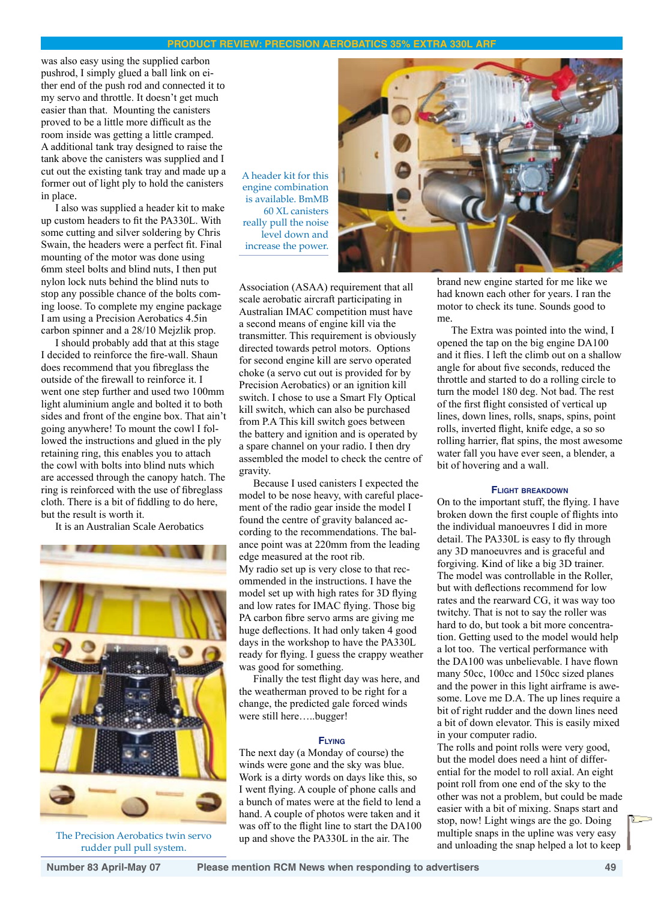was also easy using the supplied carbon pushrod, I simply glued a ball link on either end of the push rod and connected it to my servo and throttle. It doesn't get much easier than that. Mounting the canisters proved to be a little more difficult as the room inside was getting a little cramped. A additional tank tray designed to raise the tank above the canisters was supplied and I cut out the existing tank tray and made up a former out of light ply to hold the canisters in place.

I also was supplied a header kit to make up custom headers to fit the PA330L. With some cutting and silver soldering by Chris Swain, the headers were a perfect fit. Final mounting of the motor was done using 6mm steel bolts and blind nuts, I then put nylon lock nuts behind the blind nuts to stop any possible chance of the bolts coming loose. To complete my engine package I am using a Precision Aerobatics 4.5in carbon spinner and a 28/10 Mejzlik prop.

I should probably add that at this stage I decided to reinforce the fire-wall. Shaun does recommend that you fibreglass the outside of the firewall to reinforce it. I went one step further and used two 100mm light aluminium angle and bolted it to both sides and front of the engine box. That ain't going anywhere! To mount the cowl I followed the instructions and glued in the ply retaining ring, this enables you to attach the cowl with bolts into blind nuts which are accessed through the canopy hatch. The ring is reinforced with the use of fibreglass cloth. There is a bit of fiddling to do here, but the result is worth it.

It is an Australian Scale Aerobatics



The Precision Aerobatics twin servo rudder pull pull system.

A header kit for this engine combination is available. BmMB 60 XL canisters really pull the noise level down and increase the power.



Association (ASAA) requirement that all scale aerobatic aircraft participating in Australian IMAC competition must have a second means of engine kill via the transmitter. This requirement is obviously directed towards petrol motors. Options for second engine kill are servo operated choke (a servo cut out is provided for by Precision Aerobatics) or an ignition kill switch. I chose to use a Smart Fly Optical kill switch, which can also be purchased from P.A This kill switch goes between the battery and ignition and is operated by a spare channel on your radio. I then dry assembled the model to check the centre of gravity.

Because I used canisters I expected the model to be nose heavy, with careful placement of the radio gear inside the model I found the centre of gravity balanced according to the recommendations. The balance point was at 220mm from the leading edge measured at the root rib. My radio set up is very close to that recommended in the instructions. I have the model set up with high rates for 3D flying and low rates for IMAC flying. Those big PA carbon fibre servo arms are giving me huge deflections. It had only taken 4 good days in the workshop to have the PA330L ready for flying. I guess the crappy weather was good for something.

Finally the test flight day was here, and the weatherman proved to be right for a change, the predicted gale forced winds were still here…..bugger!

### **Flying**

The next day (a Monday of course) the winds were gone and the sky was blue. Work is a dirty words on days like this, so I went flying. A couple of phone calls and a bunch of mates were at the field to lend a hand. A couple of photos were taken and it was off to the flight line to start the DA100 up and shove the PA330L in the air. The

brand new engine started for me like we had known each other for years. I ran the motor to check its tune. Sounds good to me.

The Extra was pointed into the wind, I opened the tap on the big engine DA100 and it flies. I left the climb out on a shallow angle for about five seconds, reduced the throttle and started to do a rolling circle to turn the model 180 deg. Not bad. The rest of the first flight consisted of vertical up lines, down lines, rolls, snaps, spins, point rolls, inverted flight, knife edge, a so so rolling harrier, flat spins, the most awesome water fall you have ever seen, a blender, a bit of hovering and a wall.

## **Flight breakdown**

On to the important stuff, the flying. I have broken down the first couple of flights into the individual manoeuvres I did in more detail. The PA330L is easy to fly through any 3D manoeuvres and is graceful and forgiving. Kind of like a big 3D trainer. The model was controllable in the Roller, but with deflections recommend for low rates and the rearward CG, it was way too twitchy. That is not to say the roller was hard to do, but took a bit more concentration. Getting used to the model would help a lot too. The vertical performance with the DA100 was unbelievable. I have flown many 50cc, 100cc and 150cc sized planes and the power in this light airframe is awesome. Love me D.A. The up lines require a bit of right rudder and the down lines need a bit of down elevator. This is easily mixed in your computer radio.

The rolls and point rolls were very good, but the model does need a hint of differential for the model to roll axial. An eight point roll from one end of the sky to the other was not a problem, but could be made easier with a bit of mixing. Snaps start and stop, now! Light wings are the go. Doing multiple snaps in the upline was very easy and unloading the snap helped a lot to keep